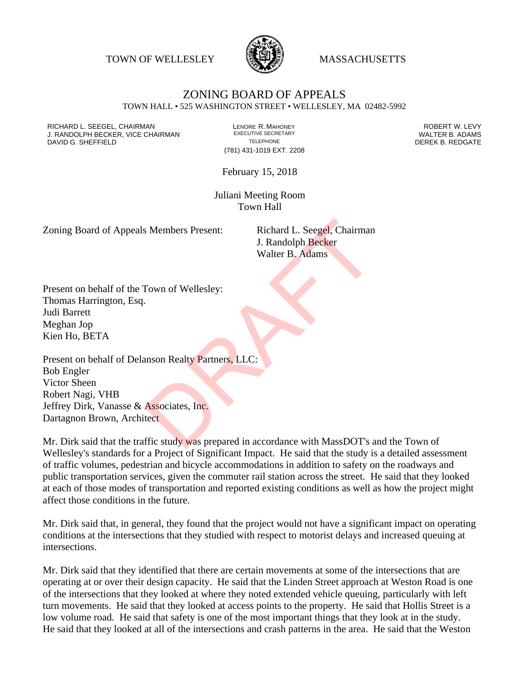TOWN OF WELLESLEY **WASSACHUSETTS** 



## ZONING BOARD OF APPEALS TOWN HALL • 525 WASHINGTON STREET • WELLESLEY, MA 02482-5992

RICHARD L. SEEGEL, CHAIRMAN LENORE R. MAHONEY ROBERT W. LEVY J. RANDOLPH BECKER, VICE CHAIRMAN EXECUTIVE SECRETARY THE SECRETARY THE SANDOLPH BECKER B. ADAMS<br>DEREK B. REDGATE TELEPHONE TELEPHONE TELEPHONE THE SAND DEREK B. REDGATE DAVID G. SHEFFIELD

(781) 431-1019 EXT. 2208

February 15, 2018

Juliani Meeting Room Town Hall

Zoning Board of Appeals Members Present: Richard L. Seegel, Chairman

J. Randolph Becker Walter B. Adams

Present on behalf of the Town of Wellesley: Thomas Harrington, Esq. Judi Barrett Meghan Jop Kien Ho, BETA

Present on behalf of Delanson Realty Partners, LLC: Bob Engler Victor Sheen Robert Nagi, VHB Jeffrey Dirk, Vanasse & Associates, Inc. Dartagnon Brown, Architect S Members Present:<br>
Richard L. Seegel, Chairman<br>
J. Randolph Becker<br>
Walter B. Adams<br>
Nown of Wellesley:<br>
Nown of Wellesley:<br>
Masociates, Inc.<br>
Associates, Inc.<br>
Associates, Inc.<br>
Etect<br>
ffic study was prepared in accordan

Mr. Dirk said that the traffic study was prepared in accordance with MassDOT's and the Town of Wellesley's standards for a Project of Significant Impact. He said that the study is a detailed assessment of traffic volumes, pedestrian and bicycle accommodations in addition to safety on the roadways and public transportation services, given the commuter rail station across the street. He said that they looked at each of those modes of transportation and reported existing conditions as well as how the project might affect those conditions in the future.

Mr. Dirk said that, in general, they found that the project would not have a significant impact on operating conditions at the intersections that they studied with respect to motorist delays and increased queuing at intersections.

Mr. Dirk said that they identified that there are certain movements at some of the intersections that are operating at or over their design capacity. He said that the Linden Street approach at Weston Road is one of the intersections that they looked at where they noted extended vehicle queuing, particularly with left turn movements. He said that they looked at access points to the property. He said that Hollis Street is a low volume road. He said that safety is one of the most important things that they look at in the study. He said that they looked at all of the intersections and crash patterns in the area. He said that the Weston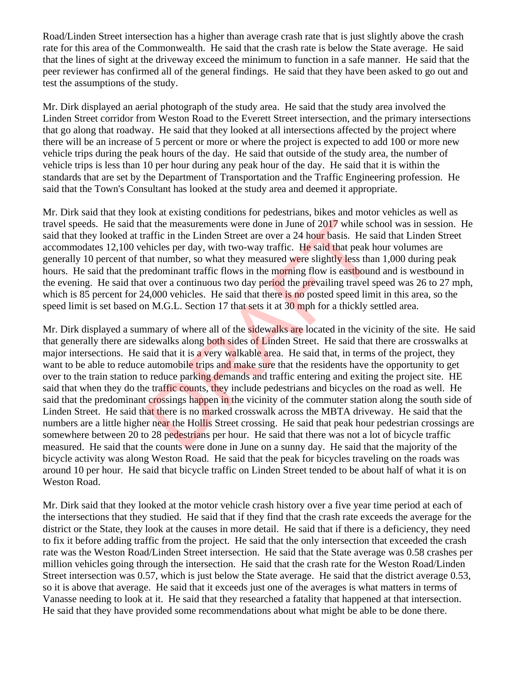Road/Linden Street intersection has a higher than average crash rate that is just slightly above the crash rate for this area of the Commonwealth. He said that the crash rate is below the State average. He said that the lines of sight at the driveway exceed the minimum to function in a safe manner. He said that the peer reviewer has confirmed all of the general findings. He said that they have been asked to go out and test the assumptions of the study.

Mr. Dirk displayed an aerial photograph of the study area. He said that the study area involved the Linden Street corridor from Weston Road to the Everett Street intersection, and the primary intersections that go along that roadway. He said that they looked at all intersections affected by the project where there will be an increase of 5 percent or more or where the project is expected to add 100 or more new vehicle trips during the peak hours of the day. He said that outside of the study area, the number of vehicle trips is less than 10 per hour during any peak hour of the day. He said that it is within the standards that are set by the Department of Transportation and the Traffic Engineering profession. He said that the Town's Consultant has looked at the study area and deemed it appropriate.

Mr. Dirk said that they look at existing conditions for pedestrians, bikes and motor vehicles as well as travel speeds. He said that the measurements were done in June of 2017 while school was in session. He said that they looked at traffic in the Linden Street are over a 24 hour basis. He said that Linden Street accommodates 12,100 vehicles per day, with two-way traffic. He said that peak hour volumes are generally 10 percent of that number, so what they measured were slightly less than 1,000 during peak hours. He said that the predominant traffic flows in the morning flow is eastbound and is westbound in the evening. He said that over a continuous two day period the prevailing travel speed was 26 to 27 mph, which is 85 percent for 24,000 vehicles. He said that there is no posted speed limit in this area, so the speed limit is set based on M.G.L. Section 17 that sets it at 30 mph for a thickly settled area.

Mr. Dirk displayed a summary of where all of the sidewalks are located in the vicinity of the site. He said that generally there are sidewalks along both sides of Linden Street. He said that there are crosswalks at major intersections. He said that it is a very walkable area. He said that, in terms of the project, they want to be able to reduce automobile trips and make sure that the residents have the opportunity to get over to the train station to reduce parking demands and traffic entering and exiting the project site. HE said that when they do the traffic counts, they include pedestrians and bicycles on the road as well. He said that the predominant crossings happen in the vicinity of the commuter station along the south side of Linden Street. He said that there is no marked crosswalk across the MBTA driveway. He said that the numbers are a little higher near the Hollis Street crossing. He said that peak hour pedestrian crossings are somewhere between 20 to 28 pedestrians per hour. He said that there was not a lot of bicycle traffic measured. He said that the counts were done in June on a sunny day. He said that the majority of the bicycle activity was along Weston Road. He said that the peak for bicycles traveling on the roads was around 10 per hour. He said that bicycle traffic on Linden Street tended to be about half of what it is on Weston Road. at the measurements were done in June of 2017 while sclare<br>affic in the Linden Street are over a 24 hour basis. He said<br>that peak hat number, so what they measured were slightly less than<br>that number, so what they measured

Mr. Dirk said that they looked at the motor vehicle crash history over a five year time period at each of the intersections that they studied. He said that if they find that the crash rate exceeds the average for the district or the State, they look at the causes in more detail. He said that if there is a deficiency, they need to fix it before adding traffic from the project. He said that the only intersection that exceeded the crash rate was the Weston Road/Linden Street intersection. He said that the State average was 0.58 crashes per million vehicles going through the intersection. He said that the crash rate for the Weston Road/Linden Street intersection was 0.57, which is just below the State average. He said that the district average 0.53, so it is above that average. He said that it exceeds just one of the averages is what matters in terms of Vanasse needing to look at it. He said that they researched a fatality that happened at that intersection. He said that they have provided some recommendations about what might be able to be done there.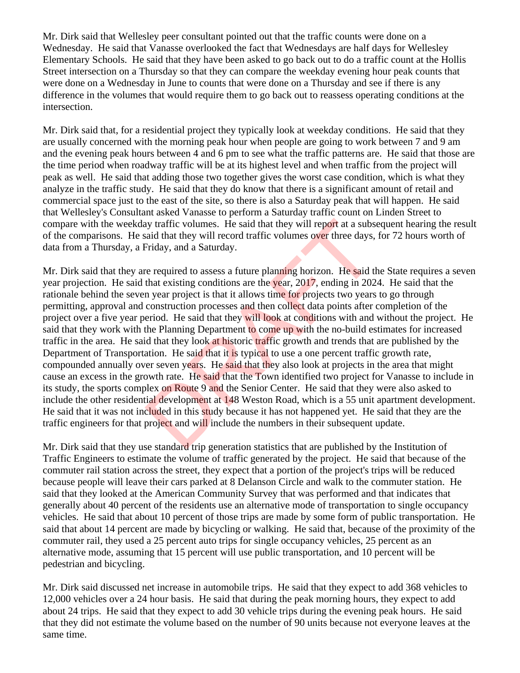Mr. Dirk said that Wellesley peer consultant pointed out that the traffic counts were done on a Wednesday. He said that Vanasse overlooked the fact that Wednesdays are half days for Wellesley Elementary Schools. He said that they have been asked to go back out to do a traffic count at the Hollis Street intersection on a Thursday so that they can compare the weekday evening hour peak counts that were done on a Wednesday in June to counts that were done on a Thursday and see if there is any difference in the volumes that would require them to go back out to reassess operating conditions at the intersection.

Mr. Dirk said that, for a residential project they typically look at weekday conditions. He said that they are usually concerned with the morning peak hour when people are going to work between 7 and 9 am and the evening peak hours between 4 and 6 pm to see what the traffic patterns are. He said that those are the time period when roadway traffic will be at its highest level and when traffic from the project will peak as well. He said that adding those two together gives the worst case condition, which is what they analyze in the traffic study. He said that they do know that there is a significant amount of retail and commercial space just to the east of the site, so there is also a Saturday peak that will happen. He said that Wellesley's Consultant asked Vanasse to perform a Saturday traffic count on Linden Street to compare with the weekday traffic volumes. He said that they will report at a subsequent hearing the result of the comparisons. He said that they will record traffic volumes over three days, for 72 hours worth of data from a Thursday, a Friday, and a Saturday.

Mr. Dirk said that they are required to assess a future planning horizon. He said the State requires a seven year projection. He said that existing conditions are the year, 2017, ending in 2024. He said that the rationale behind the seven year project is that it allows time for projects two years to go through permitting, approval and construction processes and then collect data points after completion of the project over a five year period. He said that they will look at conditions with and without the project. He said that they work with the Planning Department to come up with the no-build estimates for increased traffic in the area. He said that they look at historic traffic growth and trends that are published by the Department of Transportation. He said that it is typical to use a one percent traffic growth rate, compounded annually over seven years. He said that they also look at projects in the area that might cause an excess in the growth rate. He said that the Town identified two project for Vanasse to include in its study, the sports complex on Route 9 and the Senior Center. He said that they were also asked to include the other residential development at 148 Weston Road, which is a 55 unit apartment development. He said that it was not included in this study because it has not happened yet. He said that they are the traffic engineers for that project and will include the numbers in their subsequent update. ally traffic volumes. He said that they will report at a subs<br>said that they will record traffic volumes over three days,<br>Friday, and a Saturday.<br>The ending horizon. He said that existing conditions are the year, 2017, end

Mr. Dirk said that they use standard trip generation statistics that are published by the Institution of Traffic Engineers to estimate the volume of traffic generated by the project. He said that because of the commuter rail station across the street, they expect that a portion of the project's trips will be reduced because people will leave their cars parked at 8 Delanson Circle and walk to the commuter station. He said that they looked at the American Community Survey that was performed and that indicates that generally about 40 percent of the residents use an alternative mode of transportation to single occupancy vehicles. He said that about 10 percent of those trips are made by some form of public transportation. He said that about 14 percent are made by bicycling or walking. He said that, because of the proximity of the commuter rail, they used a 25 percent auto trips for single occupancy vehicles, 25 percent as an alternative mode, assuming that 15 percent will use public transportation, and 10 percent will be pedestrian and bicycling.

Mr. Dirk said discussed net increase in automobile trips. He said that they expect to add 368 vehicles to 12,000 vehicles over a 24 hour basis. He said that during the peak morning hours, they expect to add about 24 trips. He said that they expect to add 30 vehicle trips during the evening peak hours. He said that they did not estimate the volume based on the number of 90 units because not everyone leaves at the same time.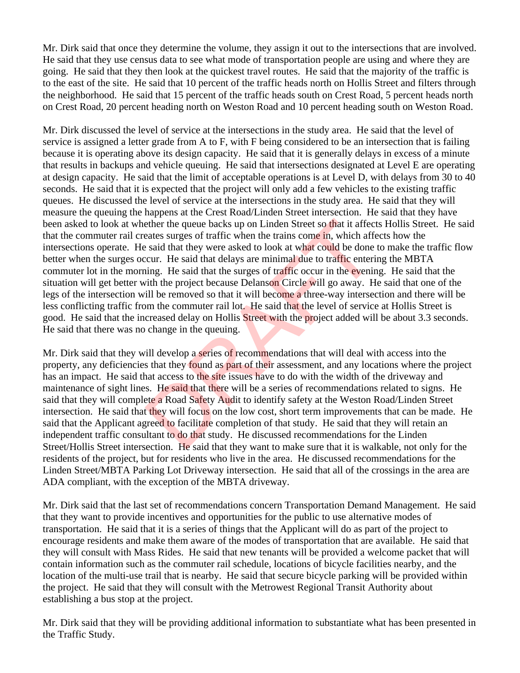Mr. Dirk said that once they determine the volume, they assign it out to the intersections that are involved. He said that they use census data to see what mode of transportation people are using and where they are going. He said that they then look at the quickest travel routes. He said that the majority of the traffic is to the east of the site. He said that 10 percent of the traffic heads north on Hollis Street and filters through the neighborhood. He said that 15 percent of the traffic heads south on Crest Road, 5 percent heads north on Crest Road, 20 percent heading north on Weston Road and 10 percent heading south on Weston Road.

Mr. Dirk discussed the level of service at the intersections in the study area. He said that the level of service is assigned a letter grade from A to F, with F being considered to be an intersection that is failing because it is operating above its design capacity. He said that it is generally delays in excess of a minute that results in backups and vehicle queuing. He said that intersections designated at Level E are operating at design capacity. He said that the limit of acceptable operations is at Level D, with delays from 30 to 40 seconds. He said that it is expected that the project will only add a few vehicles to the existing traffic queues. He discussed the level of service at the intersections in the study area. He said that they will measure the queuing the happens at the Crest Road/Linden Street intersection. He said that they have been asked to look at whether the queue backs up on Linden Street so that it affects Hollis Street. He said that the commuter rail creates surges of traffic when the trains come in, which affects how the intersections operate. He said that they were asked to look at what could be done to make the traffic flow better when the surges occur. He said that delays are minimal due to traffic entering the MBTA commuter lot in the morning. He said that the surges of traffic occur in the evening. He said that the situation will get better with the project because Delanson Circle will go away. He said that one of the legs of the intersection will be removed so that it will become a three-way intersection and there will be less conflicting traffic from the commuter rail lot. He said that the level of service at Hollis Street is good. He said that the increased delay on Hollis Street with the project added will be about 3.3 seconds. He said that there was no change in the queuing. ether the queue backs up on Linden Street so that it affeceates surges of traffic when the trains come in, which affeceates surges of traffic when the trains come in, which affeceated said that they were asked to look at w

Mr. Dirk said that they will develop a series of recommendations that will deal with access into the property, any deficiencies that they found as part of their assessment, and any locations where the project has an impact. He said that access to the site issues have to do with the width of the driveway and maintenance of sight lines. He said that there will be a series of recommendations related to signs. He said that they will complete a Road Safety Audit to identify safety at the Weston Road/Linden Street intersection. He said that they will focus on the low cost, short term improvements that can be made. He said that the Applicant agreed to facilitate completion of that study. He said that they will retain an independent traffic consultant to do that study. He discussed recommendations for the Linden Street/Hollis Street intersection. He said that they want to make sure that it is walkable, not only for the residents of the project, but for residents who live in the area. He discussed recommendations for the Linden Street/MBTA Parking Lot Driveway intersection. He said that all of the crossings in the area are ADA compliant, with the exception of the MBTA driveway.

Mr. Dirk said that the last set of recommendations concern Transportation Demand Management. He said that they want to provide incentives and opportunities for the public to use alternative modes of transportation. He said that it is a series of things that the Applicant will do as part of the project to encourage residents and make them aware of the modes of transportation that are available. He said that they will consult with Mass Rides. He said that new tenants will be provided a welcome packet that will contain information such as the commuter rail schedule, locations of bicycle facilities nearby, and the location of the multi-use trail that is nearby. He said that secure bicycle parking will be provided within the project. He said that they will consult with the Metrowest Regional Transit Authority about establishing a bus stop at the project.

Mr. Dirk said that they will be providing additional information to substantiate what has been presented in the Traffic Study.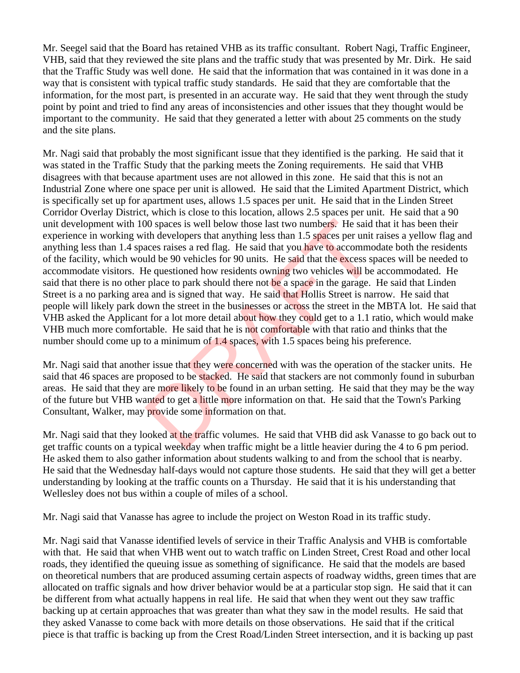Mr. Seegel said that the Board has retained VHB as its traffic consultant. Robert Nagi, Traffic Engineer, VHB, said that they reviewed the site plans and the traffic study that was presented by Mr. Dirk. He said that the Traffic Study was well done. He said that the information that was contained in it was done in a way that is consistent with typical traffic study standards. He said that they are comfortable that the information, for the most part, is presented in an accurate way. He said that they went through the study point by point and tried to find any areas of inconsistencies and other issues that they thought would be important to the community. He said that they generated a letter with about 25 comments on the study and the site plans.

Mr. Nagi said that probably the most significant issue that they identified is the parking. He said that it was stated in the Traffic Study that the parking meets the Zoning requirements. He said that VHB disagrees with that because apartment uses are not allowed in this zone. He said that this is not an Industrial Zone where one space per unit is allowed. He said that the Limited Apartment District, which is specifically set up for apartment uses, allows 1.5 spaces per unit. He said that in the Linden Street Corridor Overlay District, which is close to this location, allows 2.5 spaces per unit. He said that a 90 unit development with 100 spaces is well below those last two numbers. He said that it has been their experience in working with developers that anything less than 1.5 spaces per unit raises a yellow flag and anything less than 1.4 spaces raises a red flag. He said that you have to accommodate both the residents of the facility, which would be 90 vehicles for 90 units. He said that the excess spaces will be needed to accommodate visitors. He questioned how residents owning two vehicles will be accommodated. He said that there is no other place to park should there not be a space in the garage. He said that Linden Street is a no parking area and is signed that way. He said that Hollis Street is narrow. He said that people will likely park down the street in the businesses or across the street in the MBTA lot. He said that VHB asked the Applicant for a lot more detail about how they could get to a 1.1 ratio, which would make VHB much more comfortable. He said that he is not comfortable with that ratio and thinks that the number should come up to a minimum of 1.4 spaces, with 1.5 spaces being his preference. 00 spaces is well below those last two numbers. He said ith developers that anything less than 1.5 spaces per unit acces raises a red flag. He said that you have to accommo and be 90 vehicles for 90 units. He said that th

Mr. Nagi said that another issue that they were concerned with was the operation of the stacker units. He said that 46 spaces are proposed to be stacked. He said that stackers are not commonly found in suburban areas. He said that they are more likely to be found in an urban setting. He said that they may be the way of the future but VHB wanted to get a little more information on that. He said that the Town's Parking Consultant, Walker, may provide some information on that.

Mr. Nagi said that they looked at the traffic volumes. He said that VHB did ask Vanasse to go back out to get traffic counts on a typical weekday when traffic might be a little heavier during the 4 to 6 pm period. He asked them to also gather information about students walking to and from the school that is nearby. He said that the Wednesday half-days would not capture those students. He said that they will get a better understanding by looking at the traffic counts on a Thursday. He said that it is his understanding that Wellesley does not bus within a couple of miles of a school.

Mr. Nagi said that Vanasse has agree to include the project on Weston Road in its traffic study.

Mr. Nagi said that Vanasse identified levels of service in their Traffic Analysis and VHB is comfortable with that. He said that when VHB went out to watch traffic on Linden Street, Crest Road and other local roads, they identified the queuing issue as something of significance. He said that the models are based on theoretical numbers that are produced assuming certain aspects of roadway widths, green times that are allocated on traffic signals and how driver behavior would be at a particular stop sign. He said that it can be different from what actually happens in real life. He said that when they went out they saw traffic backing up at certain approaches that was greater than what they saw in the model results. He said that they asked Vanasse to come back with more details on those observations. He said that if the critical piece is that traffic is backing up from the Crest Road/Linden Street intersection, and it is backing up past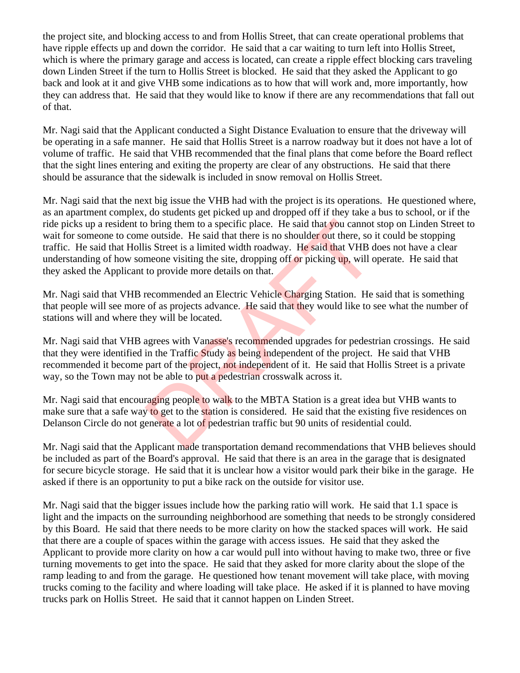the project site, and blocking access to and from Hollis Street, that can create operational problems that have ripple effects up and down the corridor. He said that a car waiting to turn left into Hollis Street, which is where the primary garage and access is located, can create a ripple effect blocking cars traveling down Linden Street if the turn to Hollis Street is blocked. He said that they asked the Applicant to go back and look at it and give VHB some indications as to how that will work and, more importantly, how they can address that. He said that they would like to know if there are any recommendations that fall out of that.

Mr. Nagi said that the Applicant conducted a Sight Distance Evaluation to ensure that the driveway will be operating in a safe manner. He said that Hollis Street is a narrow roadway but it does not have a lot of volume of traffic. He said that VHB recommended that the final plans that come before the Board reflect that the sight lines entering and exiting the property are clear of any obstructions. He said that there should be assurance that the sidewalk is included in snow removal on Hollis Street.

Mr. Nagi said that the next big issue the VHB had with the project is its operations. He questioned where, as an apartment complex, do students get picked up and dropped off if they take a bus to school, or if the ride picks up a resident to bring them to a specific place. He said that you cannot stop on Linden Street to wait for someone to come outside. He said that there is no shoulder out there, so it could be stopping traffic. He said that Hollis Street is a limited width roadway. He said that VHB does not have a clear understanding of how someone visiting the site, dropping off or picking up, will operate. He said that they asked the Applicant to provide more details on that. b bring them to a specific place. He said that you cannot<br>e outside. He said that there is no shoulder out there, so is<br>Street is a limited width roadway. He said that VHB d<br>meone visiting the site, dropping off or picking

Mr. Nagi said that VHB recommended an Electric Vehicle Charging Station. He said that is something that people will see more of as projects advance. He said that they would like to see what the number of stations will and where they will be located.

Mr. Nagi said that VHB agrees with Vanasse's recommended upgrades for pedestrian crossings. He said that they were identified in the Traffic Study as being independent of the project. He said that VHB recommended it become part of the project, not independent of it. He said that Hollis Street is a private way, so the Town may not be able to put a pedestrian crosswalk across it.

Mr. Nagi said that encouraging people to walk to the MBTA Station is a great idea but VHB wants to make sure that a safe way to get to the station is considered. He said that the existing five residences on Delanson Circle do not generate a lot of pedestrian traffic but 90 units of residential could.

Mr. Nagi said that the Applicant made transportation demand recommendations that VHB believes should be included as part of the Board's approval. He said that there is an area in the garage that is designated for secure bicycle storage. He said that it is unclear how a visitor would park their bike in the garage. He asked if there is an opportunity to put a bike rack on the outside for visitor use.

Mr. Nagi said that the bigger issues include how the parking ratio will work. He said that 1.1 space is light and the impacts on the surrounding neighborhood are something that needs to be strongly considered by this Board. He said that there needs to be more clarity on how the stacked spaces will work. He said that there are a couple of spaces within the garage with access issues. He said that they asked the Applicant to provide more clarity on how a car would pull into without having to make two, three or five turning movements to get into the space. He said that they asked for more clarity about the slope of the ramp leading to and from the garage. He questioned how tenant movement will take place, with moving trucks coming to the facility and where loading will take place. He asked if it is planned to have moving trucks park on Hollis Street. He said that it cannot happen on Linden Street.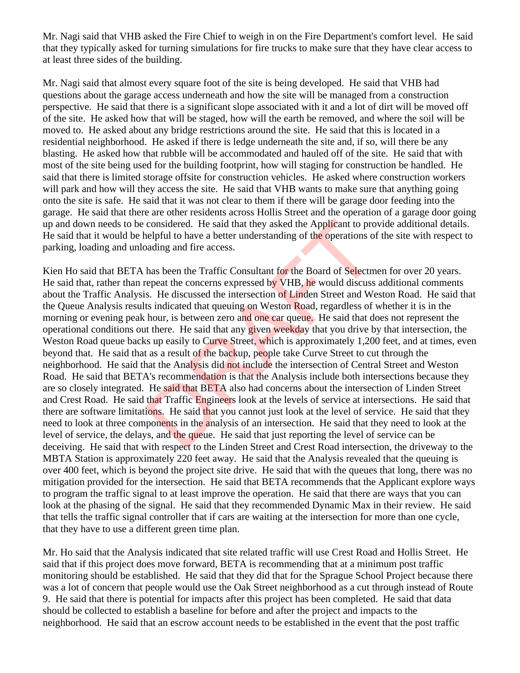Mr. Nagi said that VHB asked the Fire Chief to weigh in on the Fire Department's comfort level. He said that they typically asked for turning simulations for fire trucks to make sure that they have clear access to at least three sides of the building.

Mr. Nagi said that almost every square foot of the site is being developed. He said that VHB had questions about the garage access underneath and how the site will be managed from a construction perspective. He said that there is a significant slope associated with it and a lot of dirt will be moved off of the site. He asked how that will be staged, how will the earth be removed, and where the soil will be moved to. He asked about any bridge restrictions around the site. He said that this is located in a residential neighborhood. He asked if there is ledge underneath the site and, if so, will there be any blasting. He asked how that rubble will be accommodated and hauled off of the site. He said that with most of the site being used for the building footprint, how will staging for construction be handled. He said that there is limited storage offsite for construction vehicles. He asked where construction workers will park and how will they access the site. He said that VHB wants to make sure that anything going onto the site is safe. He said that it was not clear to them if there will be garage door feeding into the garage. He said that there are other residents across Hollis Street and the operation of a garage door going up and down needs to be considered. He said that they asked the Applicant to provide additional details. He said that it would be helpful to have a better understanding of the operations of the site with respect to parking, loading and unloading and fire access.

Kien Ho said that BETA has been the Traffic Consultant for the Board of Selectmen for over 20 years. He said that, rather than repeat the concerns expressed by VHB, he would discuss additional comments about the Traffic Analysis. He discussed the intersection of Linden Street and Weston Road. He said that the Queue Analysis results indicated that queuing on Weston Road, regardless of whether it is in the morning or evening peak hour, is between zero and one car queue. He said that does not represent the operational conditions out there. He said that any given weekday that you drive by that intersection, the Weston Road queue backs up easily to Curve Street, which is approximately 1,200 feet, and at times, even beyond that. He said that as a result of the backup, people take Curve Street to cut through the neighborhood. He said that the Analysis did not include the intersection of Central Street and Weston Road. He said that BETA's recommendation is that the Analysis include both intersections because they are so closely integrated. He said that BETA also had concerns about the intersection of Linden Street and Crest Road. He said that Traffic Engineers look at the levels of service at intersections. He said that there are software limitations. He said that you cannot just look at the level of service. He said that they need to look at three components in the analysis of an intersection. He said that they need to look at the level of service, the delays, and the queue. He said that just reporting the level of service can be deceiving. He said that with respect to the Linden Street and Crest Road intersection, the driveway to the MBTA Station is approximately 220 feet away. He said that the Analysis revealed that the queuing is over 400 feet, which is beyond the project site drive. He said that with the queues that long, there was no mitigation provided for the intersection. He said that BETA recommends that the Applicant explore ways to program the traffic signal to at least improve the operation. He said that there are ways that you can look at the phasing of the signal. He said that they recommended Dynamic Max in their review. He said that tells the traffic signal controller that if cars are waiting at the intersection for more than one cycle, that they have to use a different green time plan. considered. He said that they asked the Applicant to pro-<br>nelpful to have a better understanding of the operations of<br>pading and fire access.<br>has been the Traffic Consultant for the Board of Selectm<br>repeat the concerns exp

Mr. Ho said that the Analysis indicated that site related traffic will use Crest Road and Hollis Street. He said that if this project does move forward, BETA is recommending that at a minimum post traffic monitoring should be established. He said that they did that for the Sprague School Project because there was a lot of concern that people would use the Oak Street neighborhood as a cut through instead of Route 9. He said that there is potential for impacts after this project has been completed. He said that data should be collected to establish a baseline for before and after the project and impacts to the neighborhood. He said that an escrow account needs to be established in the event that the post traffic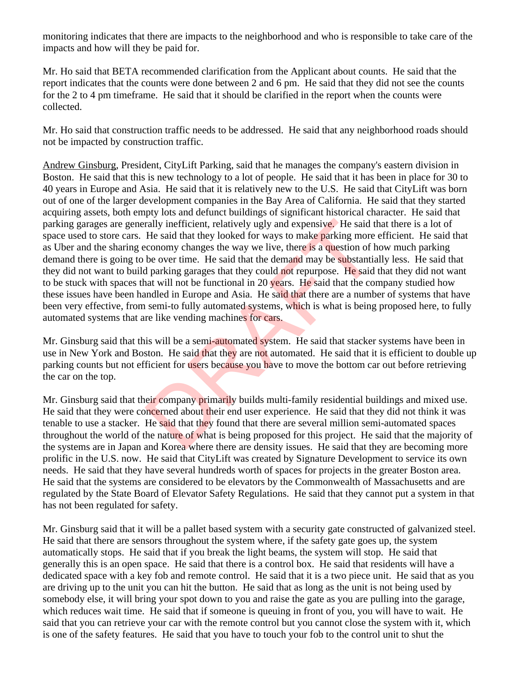monitoring indicates that there are impacts to the neighborhood and who is responsible to take care of the impacts and how will they be paid for.

Mr. Ho said that BETA recommended clarification from the Applicant about counts. He said that the report indicates that the counts were done between 2 and 6 pm. He said that they did not see the counts for the 2 to 4 pm timeframe. He said that it should be clarified in the report when the counts were collected.

Mr. Ho said that construction traffic needs to be addressed. He said that any neighborhood roads should not be impacted by construction traffic.

Andrew Ginsburg, President, CityLift Parking, said that he manages the company's eastern division in Boston. He said that this is new technology to a lot of people. He said that it has been in place for 30 to 40 years in Europe and Asia. He said that it is relatively new to the U.S. He said that CityLift was born out of one of the larger development companies in the Bay Area of California. He said that they started acquiring assets, both empty lots and defunct buildings of significant historical character. He said that parking garages are generally inefficient, relatively ugly and expensive. He said that there is a lot of space used to store cars. He said that they looked for ways to make parking more efficient. He said that as Uber and the sharing economy changes the way we live, there is a question of how much parking demand there is going to be over time. He said that the demand may be substantially less. He said that they did not want to build parking garages that they could not repurpose. He said that they did not want to be stuck with spaces that will not be functional in 20 years. He said that the company studied how these issues have been handled in Europe and Asia. He said that there are a number of systems that have been very effective, from semi-to fully automated systems, which is what is being proposed here, to fully automated systems that are like vending machines for cars. rally inefficient, relatively ugly and expensive. He said the said the said that they looked for ways to make **parking** more conomy changes the way we live, there is a question of b b over time. He said that the demand may

Mr. Ginsburg said that this will be a semi-automated system. He said that stacker systems have been in use in New York and Boston. He said that they are not automated. He said that it is efficient to double up parking counts but not efficient for users because you have to move the bottom car out before retrieving the car on the top.

Mr. Ginsburg said that their company primarily builds multi-family residential buildings and mixed use. He said that they were concerned about their end user experience. He said that they did not think it was tenable to use a stacker. He said that they found that there are several million semi-automated spaces throughout the world of the nature of what is being proposed for this project. He said that the majority of the systems are in Japan and Korea where there are density issues. He said that they are becoming more prolific in the U.S. now. He said that CityLift was created by Signature Development to service its own needs. He said that they have several hundreds worth of spaces for projects in the greater Boston area. He said that the systems are considered to be elevators by the Commonwealth of Massachusetts and are regulated by the State Board of Elevator Safety Regulations. He said that they cannot put a system in that has not been regulated for safety.

Mr. Ginsburg said that it will be a pallet based system with a security gate constructed of galvanized steel. He said that there are sensors throughout the system where, if the safety gate goes up, the system automatically stops. He said that if you break the light beams, the system will stop. He said that generally this is an open space. He said that there is a control box. He said that residents will have a dedicated space with a key fob and remote control. He said that it is a two piece unit. He said that as you are driving up to the unit you can hit the button. He said that as long as the unit is not being used by somebody else, it will bring your spot down to you and raise the gate as you are pulling into the garage, which reduces wait time. He said that if someone is queuing in front of you, you will have to wait. He said that you can retrieve your car with the remote control but you cannot close the system with it, which is one of the safety features. He said that you have to touch your fob to the control unit to shut the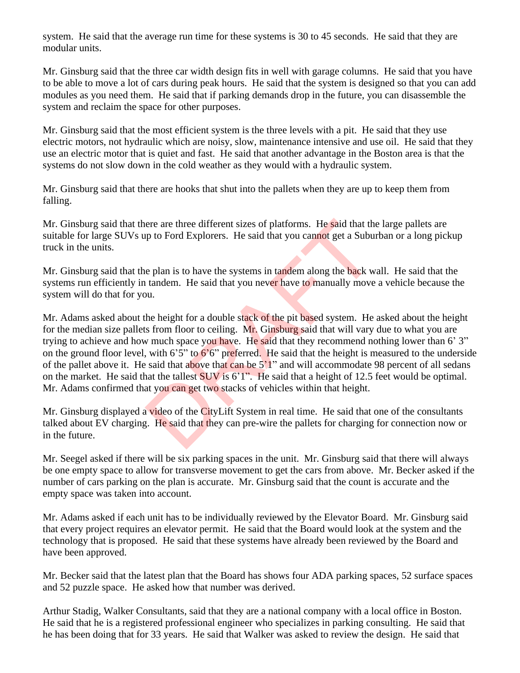system. He said that the average run time for these systems is 30 to 45 seconds. He said that they are modular units.

Mr. Ginsburg said that the three car width design fits in well with garage columns. He said that you have to be able to move a lot of cars during peak hours. He said that the system is designed so that you can add modules as you need them. He said that if parking demands drop in the future, you can disassemble the system and reclaim the space for other purposes.

Mr. Ginsburg said that the most efficient system is the three levels with a pit. He said that they use electric motors, not hydraulic which are noisy, slow, maintenance intensive and use oil. He said that they use an electric motor that is quiet and fast. He said that another advantage in the Boston area is that the systems do not slow down in the cold weather as they would with a hydraulic system.

Mr. Ginsburg said that there are hooks that shut into the pallets when they are up to keep them from falling.

Mr. Ginsburg said that there are three different sizes of platforms. He said that the large pallets are suitable for large SUVs up to Ford Explorers. He said that you cannot get a Suburban or a long pickup truck in the units.

Mr. Ginsburg said that the plan is to have the systems in tandem along the back wall. He said that the systems run efficiently in tandem. He said that you never have to manually move a vehicle because the system will do that for you.

Mr. Adams asked about the height for a double stack of the pit based system. He asked about the height for the median size pallets from floor to ceiling. Mr. Ginsburg said that will vary due to what you are trying to achieve and how much space you have. He said that they recommend nothing lower than 6' 3" on the ground floor level, with 6'5" to  $6'6''$  preferred. He said that the height is measured to the underside of the pallet above it. He said that above that can be  $5'1''$  and will accommodate 98 percent of all sedans on the market. He said that the tallest SUV is 6'1". He said that a height of 12.5 feet would be optimal. Mr. Adams confirmed that you can get two stacks of vehicles within that height. ere are three different sizes of platforms. He said that the<br>up to Ford Explorers. He said that you cannot get a Subur<br>te plan is to have the systems in tandem along the back w<br>tandem. He said that you never have to manual

Mr. Ginsburg displayed a video of the CityLift System in real time. He said that one of the consultants talked about EV charging. He said that they can pre-wire the pallets for charging for connection now or in the future.

Mr. Seegel asked if there will be six parking spaces in the unit. Mr. Ginsburg said that there will always be one empty space to allow for transverse movement to get the cars from above. Mr. Becker asked if the number of cars parking on the plan is accurate. Mr. Ginsburg said that the count is accurate and the empty space was taken into account.

Mr. Adams asked if each unit has to be individually reviewed by the Elevator Board. Mr. Ginsburg said that every project requires an elevator permit. He said that the Board would look at the system and the technology that is proposed. He said that these systems have already been reviewed by the Board and have been approved.

Mr. Becker said that the latest plan that the Board has shows four ADA parking spaces, 52 surface spaces and 52 puzzle space. He asked how that number was derived.

Arthur Stadig, Walker Consultants, said that they are a national company with a local office in Boston. He said that he is a registered professional engineer who specializes in parking consulting. He said that he has been doing that for 33 years. He said that Walker was asked to review the design. He said that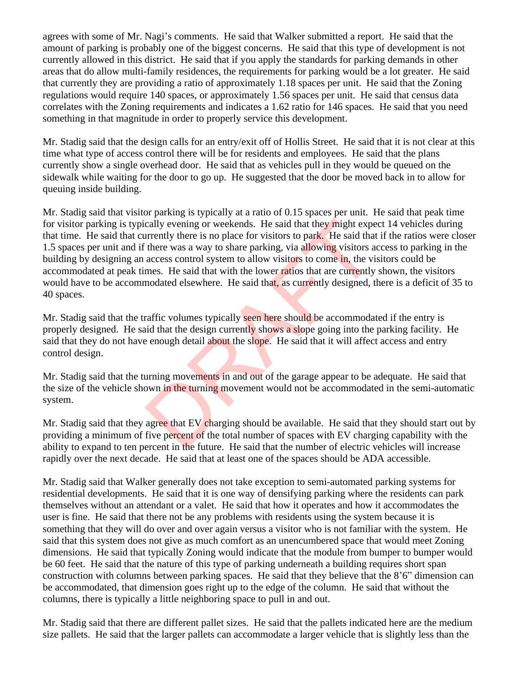agrees with some of Mr. Nagi's comments. He said that Walker submitted a report. He said that the amount of parking is probably one of the biggest concerns. He said that this type of development is not currently allowed in this district. He said that if you apply the standards for parking demands in other areas that do allow multi-family residences, the requirements for parking would be a lot greater. He said that currently they are providing a ratio of approximately 1.18 spaces per unit. He said that the Zoning regulations would require 140 spaces, or approximately 1.56 spaces per unit. He said that census data correlates with the Zoning requirements and indicates a 1.62 ratio for 146 spaces. He said that you need something in that magnitude in order to properly service this development.

Mr. Stadig said that the design calls for an entry/exit off of Hollis Street. He said that it is not clear at this time what type of access control there will be for residents and employees. He said that the plans currently show a single overhead door. He said that as vehicles pull in they would be queued on the sidewalk while waiting for the door to go up. He suggested that the door be moved back in to allow for queuing inside building.

Mr. Stadig said that visitor parking is typically at a ratio of 0.15 spaces per unit. He said that peak time for visitor parking is typically evening or weekends. He said that they might expect 14 vehicles during that time. He said that currently there is no place for visitors to park. He said that if the ratios were closer 1.5 spaces per unit and if there was a way to share parking, via allowing visitors access to parking in the building by designing an access control system to allow visitors to come in, the visitors could be accommodated at peak times. He said that with the lower ratios that are currently shown, the visitors would have to be accommodated elsewhere. He said that, as currently designed, there is a deficit of 35 to 40 spaces. cally evening or weekends. He said that they might experiently there is no place for visitors to park. He said that there was a way to share parking, via allowing visitors a access control system to allow visitors to come

Mr. Stadig said that the traffic volumes typically seen here should be accommodated if the entry is properly designed. He said that the design currently shows a slope going into the parking facility. He said that they do not have enough detail about the slope. He said that it will affect access and entry control design.

Mr. Stadig said that the turning movements in and out of the garage appear to be adequate. He said that the size of the vehicle shown in the turning movement would not be accommodated in the semi-automatic system.

Mr. Stadig said that they agree that EV charging should be available. He said that they should start out by providing a minimum of five percent of the total number of spaces with EV charging capability with the ability to expand to ten percent in the future. He said that the number of electric vehicles will increase rapidly over the next decade. He said that at least one of the spaces should be ADA accessible.

Mr. Stadig said that Walker generally does not take exception to semi-automated parking systems for residential developments. He said that it is one way of densifying parking where the residents can park themselves without an attendant or a valet. He said that how it operates and how it accommodates the user is fine. He said that there not be any problems with residents using the system because it is something that they will do over and over again versus a visitor who is not familiar with the system. He said that this system does not give as much comfort as an unencumbered space that would meet Zoning dimensions. He said that typically Zoning would indicate that the module from bumper to bumper would be 60 feet. He said that the nature of this type of parking underneath a building requires short span construction with columns between parking spaces. He said that they believe that the 8'6" dimension can be accommodated, that dimension goes right up to the edge of the column. He said that without the columns, there is typically a little neighboring space to pull in and out.

Mr. Stadig said that there are different pallet sizes. He said that the pallets indicated here are the medium size pallets. He said that the larger pallets can accommodate a larger vehicle that is slightly less than the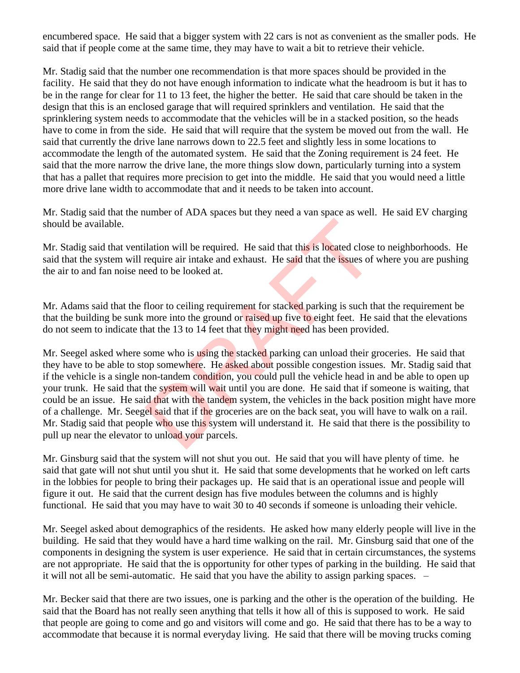encumbered space. He said that a bigger system with 22 cars is not as convenient as the smaller pods. He said that if people come at the same time, they may have to wait a bit to retrieve their vehicle.

Mr. Stadig said that the number one recommendation is that more spaces should be provided in the facility. He said that they do not have enough information to indicate what the headroom is but it has to be in the range for clear for 11 to 13 feet, the higher the better. He said that care should be taken in the design that this is an enclosed garage that will required sprinklers and ventilation. He said that the sprinklering system needs to accommodate that the vehicles will be in a stacked position, so the heads have to come in from the side. He said that will require that the system be moved out from the wall. He said that currently the drive lane narrows down to 22.5 feet and slightly less in some locations to accommodate the length of the automated system. He said that the Zoning requirement is 24 feet. He said that the more narrow the drive lane, the more things slow down, particularly turning into a system that has a pallet that requires more precision to get into the middle. He said that you would need a little more drive lane width to accommodate that and it needs to be taken into account.

Mr. Stadig said that the number of ADA spaces but they need a van space as well. He said EV charging should be available.

Mr. Stadig said that ventilation will be required. He said that this is located close to neighborhoods. He said that the system will require air intake and exhaust. He said that the issues of where you are pushing the air to and fan noise need to be looked at.

Mr. Adams said that the floor to ceiling requirement for stacked parking is such that the requirement be that the building be sunk more into the ground or raised up five to eight feet. He said that the elevations do not seem to indicate that the 13 to 14 feet that they might need has been provided.

Mr. Seegel asked where some who is using the stacked parking can unload their groceries. He said that they have to be able to stop somewhere. He asked about possible congestion issues. Mr. Stadig said that if the vehicle is a single non-tandem condition, you could pull the vehicle head in and be able to open up your trunk. He said that the system will wait until you are done. He said that if someone is waiting, that could be an issue. He said that with the tandem system, the vehicles in the back position might have more of a challenge. Mr. Seegel said that if the groceries are on the back seat, you will have to walk on a rail. Mr. Stadig said that people who use this system will understand it. He said that there is the possibility to pull up near the elevator to unload your parcels. ilation will be required. He said that this is located close<br>require air intake and exhaust. He said that the issues of<br>eed to be looked at.<br>floor to ceiling requirement for stacked parking is such th<br>more into the ground

Mr. Ginsburg said that the system will not shut you out. He said that you will have plenty of time. he said that gate will not shut until you shut it. He said that some developments that he worked on left carts in the lobbies for people to bring their packages up. He said that is an operational issue and people will figure it out. He said that the current design has five modules between the columns and is highly functional. He said that you may have to wait 30 to 40 seconds if someone is unloading their vehicle.

Mr. Seegel asked about demographics of the residents. He asked how many elderly people will live in the building. He said that they would have a hard time walking on the rail. Mr. Ginsburg said that one of the components in designing the system is user experience. He said that in certain circumstances, the systems are not appropriate. He said that the is opportunity for other types of parking in the building. He said that it will not all be semi-automatic. He said that you have the ability to assign parking spaces. –

Mr. Becker said that there are two issues, one is parking and the other is the operation of the building. He said that the Board has not really seen anything that tells it how all of this is supposed to work. He said that people are going to come and go and visitors will come and go. He said that there has to be a way to accommodate that because it is normal everyday living. He said that there will be moving trucks coming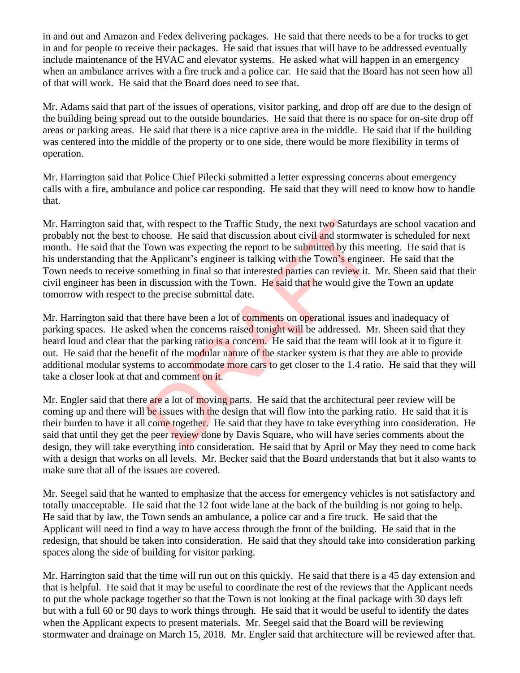in and out and Amazon and Fedex delivering packages. He said that there needs to be a for trucks to get in and for people to receive their packages. He said that issues that will have to be addressed eventually include maintenance of the HVAC and elevator systems. He asked what will happen in an emergency when an ambulance arrives with a fire truck and a police car. He said that the Board has not seen how all of that will work. He said that the Board does need to see that.

Mr. Adams said that part of the issues of operations, visitor parking, and drop off are due to the design of the building being spread out to the outside boundaries. He said that there is no space for on-site drop off areas or parking areas. He said that there is a nice captive area in the middle. He said that if the building was centered into the middle of the property or to one side, there would be more flexibility in terms of operation.

Mr. Harrington said that Police Chief Pilecki submitted a letter expressing concerns about emergency calls with a fire, ambulance and police car responding. He said that they will need to know how to handle that.

Mr. Harrington said that, with respect to the Traffic Study, the next two Saturdays are school vacation and probably not the best to choose. He said that discussion about civil and stormwater is scheduled for next month. He said that the Town was expecting the report to be submitted by this meeting. He said that is his understanding that the Applicant's engineer is talking with the Town's engineer. He said that the Town needs to receive something in final so that interested parties can review it. Mr. Sheen said that their civil engineer has been in discussion with the Town. He said that he would give the Town an update tomorrow with respect to the precise submittal date. with respect to the Traffic Study, the next two Saturdays<br>thoose. He said that discussion about civil and stormwate<br>Town was expecting the report to be submitted by this me<br>Applicant's engineer is talking with the Town's e

Mr. Harrington said that there have been a lot of comments on operational issues and inadequacy of parking spaces. He asked when the concerns raised tonight will be addressed. Mr. Sheen said that they heard loud and clear that the parking ratio is a concern. He said that the team will look at it to figure it out. He said that the benefit of the modular nature of the stacker system is that they are able to provide additional modular systems to accommodate more cars to get closer to the 1.4 ratio. He said that they will take a closer look at that and comment on it.

Mr. Engler said that there are a lot of moving parts. He said that the architectural peer review will be coming up and there will be issues with the design that will flow into the parking ratio. He said that it is their burden to have it all come together. He said that they have to take everything into consideration. He said that until they get the peer review done by Davis Square, who will have series comments about the design, they will take everything into consideration. He said that by April or May they need to come back with a design that works on all levels. Mr. Becker said that the Board understands that but it also wants to make sure that all of the issues are covered.

Mr. Seegel said that he wanted to emphasize that the access for emergency vehicles is not satisfactory and totally unacceptable. He said that the 12 foot wide lane at the back of the building is not going to help. He said that by law, the Town sends an ambulance, a police car and a fire truck. He said that the Applicant will need to find a way to have access through the front of the building. He said that in the redesign, that should be taken into consideration. He said that they should take into consideration parking spaces along the side of building for visitor parking.

Mr. Harrington said that the time will run out on this quickly. He said that there is a 45 day extension and that is helpful. He said that it may be useful to coordinate the rest of the reviews that the Applicant needs to put the whole package together so that the Town is not looking at the final package with 30 days left but with a full 60 or 90 days to work things through. He said that it would be useful to identify the dates when the Applicant expects to present materials. Mr. Seegel said that the Board will be reviewing stormwater and drainage on March 15, 2018. Mr. Engler said that architecture will be reviewed after that.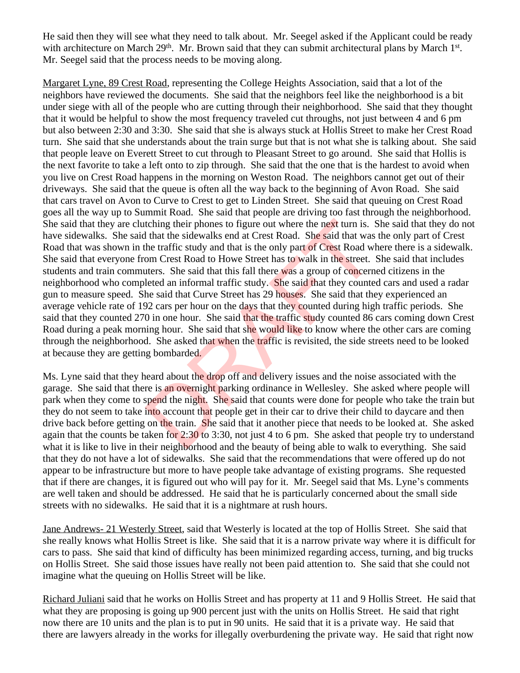He said then they will see what they need to talk about. Mr. Seegel asked if the Applicant could be ready with architecture on March 29<sup>th</sup>. Mr. Brown said that they can submit architectural plans by March 1<sup>st</sup>. Mr. Seegel said that the process needs to be moving along.

Margaret Lyne, 89 Crest Road, representing the College Heights Association, said that a lot of the neighbors have reviewed the documents. She said that the neighbors feel like the neighborhood is a bit under siege with all of the people who are cutting through their neighborhood. She said that they thought that it would be helpful to show the most frequency traveled cut throughs, not just between 4 and 6 pm but also between 2:30 and 3:30. She said that she is always stuck at Hollis Street to make her Crest Road turn. She said that she understands about the train surge but that is not what she is talking about. She said that people leave on Everett Street to cut through to Pleasant Street to go around. She said that Hollis is the next favorite to take a left onto to zip through. She said that the one that is the hardest to avoid when you live on Crest Road happens in the morning on Weston Road. The neighbors cannot get out of their driveways. She said that the queue is often all the way back to the beginning of Avon Road. She said that cars travel on Avon to Curve to Crest to get to Linden Street. She said that queuing on Crest Road goes all the way up to Summit Road. She said that people are driving too fast through the neighborhood. She said that they are clutching their phones to figure out where the next turn is. She said that they do not have sidewalks. She said that the sidewalks end at Crest Road. She said that was the only part of Crest Road that was shown in the traffic study and that is the only part of Crest Road where there is a sidewalk. She said that everyone from Crest Road to Howe Street has to walk in the street. She said that includes students and train commuters. She said that this fall there was a group of concerned citizens in the neighborhood who completed an informal traffic study. She said that they counted cars and used a radar gun to measure speed. She said that Curve Street has 29 houses. She said that they experienced an average vehicle rate of 192 cars per hour on the days that they counted during high traffic periods. She said that they counted 270 in one hour. She said that the traffic study counted 86 cars coming down Crest Road during a peak morning hour. She said that she would like to know where the other cars are coming through the neighborhood. She asked that when the traffic is revisited, the side streets need to be looked at because they are getting bombarded. tching their phones to figure out where the next turn is. It that the sidewalks end at Crest Road. She said that was<br>he traffic study and that is the only part of Crest Road wi<br>om Crest Road to Howe Street has to walk in t

Ms. Lyne said that they heard about the drop off and delivery issues and the noise associated with the garage. She said that there is an overnight parking ordinance in Wellesley. She asked where people will park when they come to spend the night. She said that counts were done for people who take the train but they do not seem to take into account that people get in their car to drive their child to daycare and then drive back before getting on the train. She said that it another piece that needs to be looked at. She asked again that the counts be taken for 2:30 to 3:30, not just 4 to 6 pm. She asked that people try to understand what it is like to live in their neighborhood and the beauty of being able to walk to everything. She said that they do not have a lot of sidewalks. She said that the recommendations that were offered up do not appear to be infrastructure but more to have people take advantage of existing programs. She requested that if there are changes, it is figured out who will pay for it. Mr. Seegel said that Ms. Lyne's comments are well taken and should be addressed. He said that he is particularly concerned about the small side streets with no sidewalks. He said that it is a nightmare at rush hours.

Jane Andrews- 21 Westerly Street, said that Westerly is located at the top of Hollis Street. She said that she really knows what Hollis Street is like. She said that it is a narrow private way where it is difficult for cars to pass. She said that kind of difficulty has been minimized regarding access, turning, and big trucks on Hollis Street. She said those issues have really not been paid attention to. She said that she could not imagine what the queuing on Hollis Street will be like.

Richard Juliani said that he works on Hollis Street and has property at 11 and 9 Hollis Street. He said that what they are proposing is going up 900 percent just with the units on Hollis Street. He said that right now there are 10 units and the plan is to put in 90 units. He said that it is a private way. He said that there are lawyers already in the works for illegally overburdening the private way. He said that right now